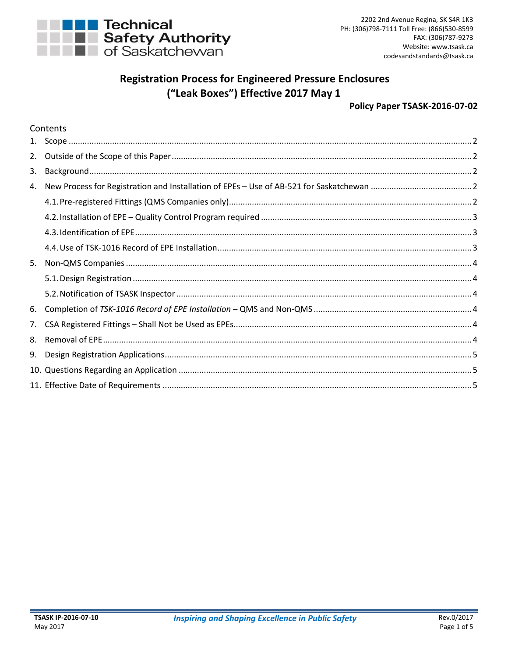

# **Registration Process for Engineered Pressure Enclosures** ("Leak Boxes") Effective 2017 May 1

#### Policy Paper TSASK-2016-07-02

# Contents

| 2. |  |
|----|--|
| 3. |  |
| 4. |  |
|    |  |
|    |  |
|    |  |
|    |  |
| 5. |  |
|    |  |
|    |  |
| 6. |  |
| 7. |  |
| 8. |  |
| 9. |  |
|    |  |
|    |  |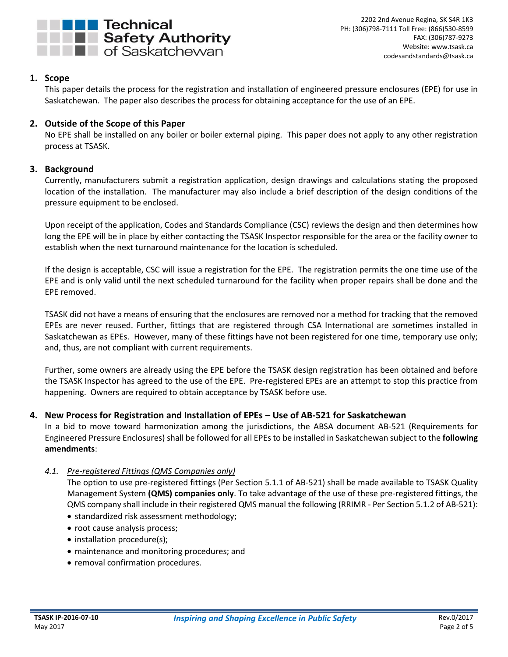

# <span id="page-1-0"></span>**1. Scope**

This paper details the process for the registration and installation of engineered pressure enclosures (EPE) for use in Saskatchewan. The paper also describes the process for obtaining acceptance for the use of an EPE.

# <span id="page-1-1"></span>**2. Outside of the Scope of this Paper**

No EPE shall be installed on any boiler or boiler external piping. This paper does not apply to any other registration process at TSASK.

# <span id="page-1-2"></span>**3. Background**

Currently, manufacturers submit a registration application, design drawings and calculations stating the proposed location of the installation. The manufacturer may also include a brief description of the design conditions of the pressure equipment to be enclosed.

Upon receipt of the application, Codes and Standards Compliance (CSC) reviews the design and then determines how long the EPE will be in place by either contacting the TSASK Inspector responsible for the area or the facility owner to establish when the next turnaround maintenance for the location is scheduled.

If the design is acceptable, CSC will issue a registration for the EPE. The registration permits the one time use of the EPE and is only valid until the next scheduled turnaround for the facility when proper repairs shall be done and the EPE removed.

TSASK did not have a means of ensuring that the enclosures are removed nor a method for tracking that the removed EPEs are never reused. Further, fittings that are registered through CSA International are sometimes installed in Saskatchewan as EPEs. However, many of these fittings have not been registered for one time, temporary use only; and, thus, are not compliant with current requirements.

Further, some owners are already using the EPE before the TSASK design registration has been obtained and before the TSASK Inspector has agreed to the use of the EPE. Pre-registered EPEs are an attempt to stop this practice from happening. Owners are required to obtain acceptance by TSASK before use.

## <span id="page-1-3"></span>**4. New Process for Registration and Installation of EPEs – Use of AB-521 for Saskatchewan**

In a bid to move toward harmonization among the jurisdictions, the ABSA document AB-521 (Requirements for Engineered Pressure Enclosures) shall be followed for all EPEs to be installed in Saskatchewan subject to the **following amendments**:

## <span id="page-1-4"></span>*4.1. Pre-registered Fittings (QMS Companies only)*

The option to use pre-registered fittings (Per Section 5.1.1 of AB-521) shall be made available to TSASK Quality Management System **(QMS) companies only**. To take advantage of the use of these pre-registered fittings, the QMS company shall include in their registered QMS manual the following (RRIMR - Per Section 5.1.2 of AB-521):

- standardized risk assessment methodology;
- root cause analysis process;
- installation procedure(s);
- maintenance and monitoring procedures; and
- removal confirmation procedures.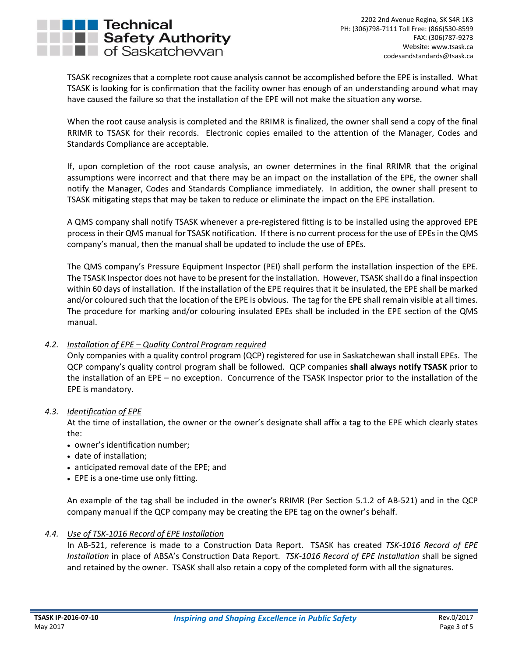

TSASK recognizes that a complete root cause analysis cannot be accomplished before the EPE is installed. What TSASK is looking for is confirmation that the facility owner has enough of an understanding around what may have caused the failure so that the installation of the EPE will not make the situation any worse.

When the root cause analysis is completed and the RRIMR is finalized, the owner shall send a copy of the final RRIMR to TSASK for their records. Electronic copies emailed to the attention of the Manager, Codes and Standards Compliance are acceptable.

If, upon completion of the root cause analysis, an owner determines in the final RRIMR that the original assumptions were incorrect and that there may be an impact on the installation of the EPE, the owner shall notify the Manager, Codes and Standards Compliance immediately. In addition, the owner shall present to TSASK mitigating steps that may be taken to reduce or eliminate the impact on the EPE installation.

A QMS company shall notify TSASK whenever a pre-registered fitting is to be installed using the approved EPE process in their QMS manual for TSASK notification. If there is no current process for the use of EPEs in the QMS company's manual, then the manual shall be updated to include the use of EPEs.

The QMS company's Pressure Equipment Inspector (PEI) shall perform the installation inspection of the EPE. The TSASK Inspector does not have to be present for the installation. However, TSASK shall do a final inspection within 60 days of installation. If the installation of the EPE requires that it be insulated, the EPE shall be marked and/or coloured such that the location of the EPE is obvious. The tag for the EPE shall remain visible at all times. The procedure for marking and/or colouring insulated EPEs shall be included in the EPE section of the QMS manual.

## <span id="page-2-0"></span>*4.2. Installation of EPE – Quality Control Program required*

Only companies with a quality control program (QCP) registered for use in Saskatchewan shall install EPEs. The QCP company's quality control program shall be followed. QCP companies **shall always notify TSASK** prior to the installation of an EPE – no exception. Concurrence of the TSASK Inspector prior to the installation of the EPE is mandatory.

#### <span id="page-2-1"></span>*4.3. Identification of EPE*

At the time of installation, the owner or the owner's designate shall affix a tag to the EPE which clearly states the:

- owner's identification number;
- date of installation;
- anticipated removal date of the EPE; and
- EPE is a one-time use only fitting.

An example of the tag shall be included in the owner's RRIMR (Per Section 5.1.2 of AB-521) and in the QCP company manual if the QCP company may be creating the EPE tag on the owner's behalf.

#### <span id="page-2-2"></span>*4.4. Use of TSK-1016 Record of EPE Installation*

In AB-521, reference is made to a Construction Data Report. TSASK has created *TSK-1016 Record of EPE Installation* in place of ABSA's Construction Data Report. *TSK-1016 Record of EPE Installation* shall be signed and retained by the owner. TSASK shall also retain a copy of the completed form with all the signatures.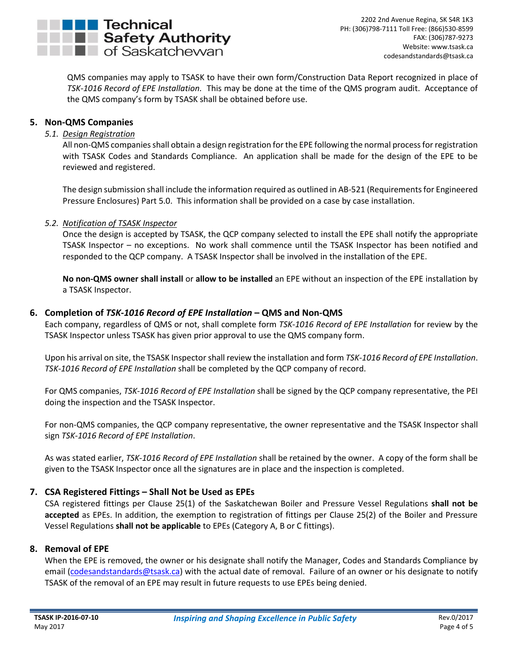

QMS companies may apply to TSASK to have their own form/Construction Data Report recognized in place of *TSK-1016 Record of EPE Installation.* This may be done at the time of the QMS program audit. Acceptance of the QMS company's form by TSASK shall be obtained before use.

# <span id="page-3-1"></span><span id="page-3-0"></span>**5. Non-QMS Companies**

## *5.1. Design Registration*

All non-QMS companies shall obtain a design registration for the EPE following the normal process for registration with TSASK Codes and Standards Compliance. An application shall be made for the design of the EPE to be reviewed and registered.

The design submission shall include the information required as outlined in AB-521 (Requirements for Engineered Pressure Enclosures) Part 5.0. This information shall be provided on a case by case installation.

#### <span id="page-3-2"></span>*5.2. Notification of TSASK Inspector*

Once the design is accepted by TSASK, the QCP company selected to install the EPE shall notify the appropriate TSASK Inspector – no exceptions. No work shall commence until the TSASK Inspector has been notified and responded to the QCP company. A TSASK Inspector shall be involved in the installation of the EPE.

**No non-QMS owner shall install** or **allow to be installed** an EPE without an inspection of the EPE installation by a TSASK Inspector.

#### <span id="page-3-3"></span>**6. Completion of** *TSK-1016 Record of EPE Installation* **– QMS and Non-QMS**

Each company, regardless of QMS or not, shall complete form *TSK-1016 Record of EPE Installation* for review by the TSASK Inspector unless TSASK has given prior approval to use the QMS company form.

Upon his arrival on site, the TSASK Inspectorshall review the installation and form *TSK-1016 Record of EPE Installation*. *TSK-1016 Record of EPE Installation* shall be completed by the QCP company of record.

For QMS companies, *TSK-1016 Record of EPE Installation* shall be signed by the QCP company representative, the PEI doing the inspection and the TSASK Inspector.

For non-QMS companies, the QCP company representative, the owner representative and the TSASK Inspector shall sign *TSK-1016 Record of EPE Installation*.

As was stated earlier, *TSK-1016 Record of EPE Installation* shall be retained by the owner. A copy of the form shall be given to the TSASK Inspector once all the signatures are in place and the inspection is completed.

## <span id="page-3-4"></span>**7. CSA Registered Fittings – Shall Not be Used as EPEs**

CSA registered fittings per Clause 25(1) of the Saskatchewan Boiler and Pressure Vessel Regulations **shall not be accepted** as EPEs. In addition, the exemption to registration of fittings per Clause 25(2) of the Boiler and Pressure Vessel Regulations **shall not be applicable** to EPEs (Category A, B or C fittings).

#### <span id="page-3-5"></span>**8. Removal of EPE**

When the EPE is removed, the owner or his designate shall notify the Manager, Codes and Standards Compliance by email [\(codesandstandards@tsask.ca\)](mailto:codesandstandards@tsask.ca) with the actual date of removal. Failure of an owner or his designate to notify TSASK of the removal of an EPE may result in future requests to use EPEs being denied.